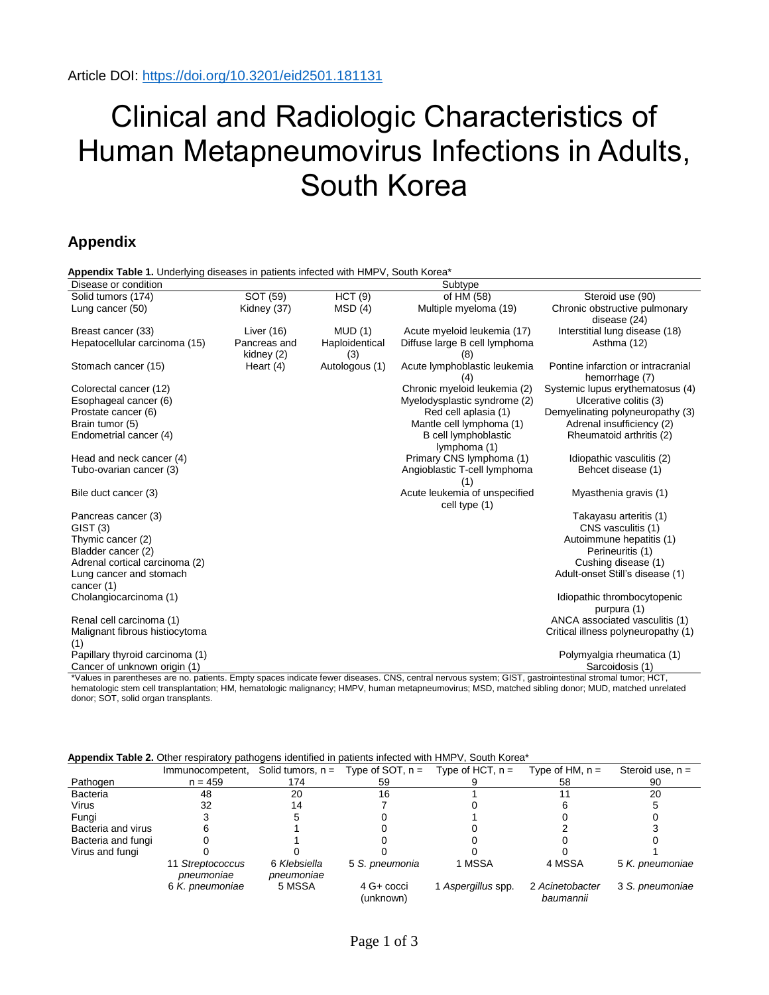## Clinical and Radiologic Characteristics of Human Metapneumovirus Infections in Adults, South Korea

## **Appendix**

| Appendix Table 1. Underlying diseases in patients infected with HMPV, South Korea* |                            |                       |                                                |                                                      |  |  |
|------------------------------------------------------------------------------------|----------------------------|-----------------------|------------------------------------------------|------------------------------------------------------|--|--|
| Disease or condition                                                               |                            |                       | Subtype                                        |                                                      |  |  |
| Solid tumors (174)                                                                 | SOT (59)                   | HCT(9)                | of HM (58)                                     | Steroid use (90)                                     |  |  |
| Lung cancer (50)                                                                   | Kidney (37)                | MSD(4)                | Multiple myeloma (19)                          | Chronic obstructive pulmonary<br>disease (24)        |  |  |
| Breast cancer (33)                                                                 | Liver $(16)$               | MUD(1)                | Acute myeloid leukemia (17)                    | Interstitial lung disease (18)                       |  |  |
| Hepatocellular carcinoma (15)                                                      | Pancreas and<br>kidney (2) | Haploidentical<br>(3) | Diffuse large B cell lymphoma                  | Asthma (12)                                          |  |  |
| Stomach cancer (15)                                                                | Heart $(4)$                | Autologous (1)        | Acute lymphoblastic leukemia<br>(4)            | Pontine infarction or intracranial<br>hemorrhage (7) |  |  |
| Colorectal cancer (12)                                                             |                            |                       | Chronic myeloid leukemia (2)                   | Systemic lupus erythematosus (4)                     |  |  |
| Esophageal cancer (6)                                                              |                            |                       | Myelodysplastic syndrome (2)                   | Ulcerative colitis (3)                               |  |  |
| Prostate cancer (6)                                                                |                            |                       | Red cell aplasia (1)                           | Demyelinating polyneuropathy (3)                     |  |  |
| Brain tumor (5)                                                                    |                            |                       | Mantle cell lymphoma (1)                       | Adrenal insufficiency (2)                            |  |  |
| Endometrial cancer (4)                                                             |                            |                       | B cell lymphoblastic                           | Rheumatoid arthritis (2)                             |  |  |
|                                                                                    |                            |                       | lymphoma (1)                                   |                                                      |  |  |
| Head and neck cancer (4)                                                           |                            |                       | Primary CNS lymphoma (1)                       | Idiopathic vasculitis (2)                            |  |  |
| Tubo-ovarian cancer (3)                                                            |                            |                       | Angioblastic T-cell lymphoma                   | Behcet disease (1)                                   |  |  |
|                                                                                    |                            |                       | (1)                                            |                                                      |  |  |
| Bile duct cancer (3)                                                               |                            |                       | Acute leukemia of unspecified<br>cell type (1) | Myasthenia gravis (1)                                |  |  |
| Pancreas cancer (3)                                                                |                            |                       |                                                | Takayasu arteritis (1)                               |  |  |
| GIST(3)                                                                            |                            |                       |                                                | CNS vasculitis (1)                                   |  |  |
| Thymic cancer (2)                                                                  |                            |                       |                                                | Autoimmune hepatitis (1)                             |  |  |
| Bladder cancer (2)                                                                 |                            |                       |                                                | Perineuritis (1)                                     |  |  |
| Adrenal cortical carcinoma (2)                                                     |                            |                       |                                                | Cushing disease (1)                                  |  |  |
| Lung cancer and stomach                                                            |                            |                       |                                                | Adult-onset Still's disease (1)                      |  |  |
| cancer (1)                                                                         |                            |                       |                                                |                                                      |  |  |
| Cholangiocarcinoma (1)                                                             |                            |                       |                                                | Idiopathic thrombocytopenic                          |  |  |
|                                                                                    |                            |                       |                                                | purpura (1)                                          |  |  |
| Renal cell carcinoma (1)                                                           |                            |                       |                                                | ANCA associated vasculitis (1)                       |  |  |
| Malignant fibrous histiocytoma<br>(1)                                              |                            |                       |                                                | Critical illness polyneuropathy (1)                  |  |  |
| Papillary thyroid carcinoma (1)                                                    |                            |                       |                                                | Polymyalgia rheumatica (1)                           |  |  |
| Cancer of unknown origin (1)                                                       |                            |                       |                                                | Sarcoidosis (1)                                      |  |  |

\*Values in parentheses are no. patients. Empty spaces indicate fewer diseases. CNS, central nervous system; GIST, gastrointestinal stromal tumor; HCT, hematologic stem cell transplantation; HM, hematologic malignancy; HMPV, human metapneumovirus; MSD, matched sibling donor; MUD, matched unrelated donor; SOT, solid organ transplants.

**Appendix Table 2.** Other respiratory pathogens identified in patients infected with HMPV, South Korea\*

| .                  |                                |                            |                         |                    |                              |                    |
|--------------------|--------------------------------|----------------------------|-------------------------|--------------------|------------------------------|--------------------|
|                    | Immunocompetent,               | Solid tumors, $n =$        | Type of SOT, $n =$      | Type of HCT, $n =$ | Type of HM, $n =$            | Steroid use, $n =$ |
| Pathogen           | $n = 459$                      | 174                        | 59                      |                    | 58                           | 90                 |
| Bacteria           | 48                             | 20                         | 16                      |                    |                              | 20                 |
| Virus              | 32                             |                            |                         |                    |                              |                    |
| Fungi              |                                |                            |                         |                    |                              |                    |
| Bacteria and virus |                                |                            |                         |                    |                              |                    |
| Bacteria and fungi |                                |                            |                         |                    |                              |                    |
| Virus and fungi    |                                |                            |                         |                    |                              |                    |
|                    | 11 Streptococcus<br>pneumoniae | 6 Klebsiella<br>pneumoniae | 5 S. pneumonia          | 1 MSSA             | 4 MSSA                       | 5 K. pneumoniae    |
|                    | 6 K. pneumoniae                | 5 MSSA                     | 4 G+ cocci<br>(unknown) | Aspergillus spp.   | 2 Acinetobacter<br>baumannii | 3 S. pneumoniae    |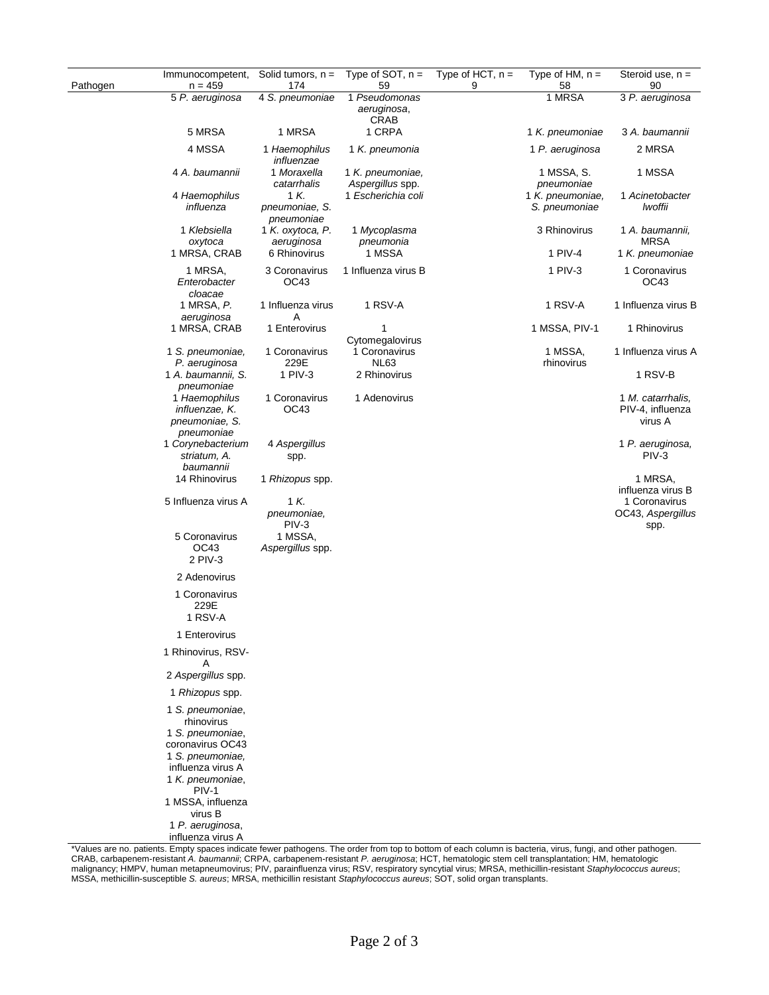| Pathogen | Immunocompetent,<br>$n = 459$                                                                                                                | Solid tumors, $n =$<br>174                                  | Type of SOT, $n =$<br>59             | Type of HCT, $n =$<br>9 | Type of $HM$ , $n =$<br>58        | Steroid use, $n =$<br>90                                        |
|----------|----------------------------------------------------------------------------------------------------------------------------------------------|-------------------------------------------------------------|--------------------------------------|-------------------------|-----------------------------------|-----------------------------------------------------------------|
|          | 5 P. aeruginosa                                                                                                                              | 4 S. pneumoniae                                             | 1 Pseudomonas                        |                         | 1 MRSA                            | 3 P. aeruginosa                                                 |
|          |                                                                                                                                              |                                                             | aeruginosa,                          |                         |                                   |                                                                 |
|          | 5 MRSA                                                                                                                                       | 1 MRSA                                                      | <b>CRAB</b><br>1 CRPA                |                         | 1 K. pneumoniae                   | 3 A. baumannii                                                  |
|          | 4 MSSA                                                                                                                                       | 1 Haemophilus<br>influenzae                                 | 1 K. pneumonia                       |                         | 1 P. aeruginosa                   | 2 MRSA                                                          |
|          | 4 A. baumannii                                                                                                                               | 1 Moraxella<br>catarrhalis                                  | 1 K. pneumoniae,<br>Aspergillus spp. |                         | 1 MSSA, S.<br>pneumoniae          | 1 MSSA                                                          |
|          | 4 Haemophilus<br>influenza                                                                                                                   | 1 K.<br>pneumoniae, S.<br>pneumoniae                        | 1 Escherichia coli                   |                         | 1 K. pneumoniae,<br>S. pneumoniae | 1 Acinetobacter<br>lwoffii                                      |
|          | 1 Klebsiella<br>oxytoca                                                                                                                      | 1 K. oxytoca, P.<br>aeruginosa                              | 1 Mycoplasma<br>pneumonia            |                         | 3 Rhinovirus                      | 1 A. baumannii,<br><b>MRSA</b>                                  |
|          | 1 MRSA, CRAB                                                                                                                                 | 6 Rhinovirus                                                | 1 MSSA                               |                         | 1 PIV-4                           | 1 K. pneumoniae                                                 |
|          | 1 MRSA,<br>Enterobacter<br>cloacae                                                                                                           | 3 Coronavirus<br>OC43                                       | 1 Influenza virus B                  |                         | 1 PIV-3                           | 1 Coronavirus<br>OC43                                           |
|          | 1 MRSA, P.<br>aeruginosa                                                                                                                     | 1 Influenza virus<br>Α                                      | 1 RSV-A                              |                         | 1 RSV-A                           | 1 Influenza virus B                                             |
|          | 1 MRSA, CRAB                                                                                                                                 | 1 Enterovirus                                               | 1<br>Cytomegalovirus                 |                         | 1 MSSA, PIV-1                     | 1 Rhinovirus                                                    |
|          | 1 S. pneumoniae,<br>P. aeruginosa                                                                                                            | 1 Coronavirus<br>229E                                       | 1 Coronavirus<br><b>NL63</b>         |                         | 1 MSSA,<br>rhinovirus             | 1 Influenza virus A                                             |
|          | 1 A. baumannii, S.<br>pneumoniae                                                                                                             | 1 PIV-3                                                     | 2 Rhinovirus                         |                         |                                   | 1 RSV-B                                                         |
|          | 1 Haemophilus<br>influenzae, K.<br>pneumoniae, S.<br>pneumoniae                                                                              | 1 Coronavirus<br>OC43                                       | 1 Adenovirus                         |                         |                                   | 1 M. catarrhalis,<br>PIV-4, influenza<br>virus A                |
|          | 1 Corynebacterium<br>striatum, A.<br>baumannii                                                                                               | 4 Aspergillus<br>spp.                                       |                                      |                         |                                   | 1 P. aeruginosa,<br>PIV-3                                       |
|          | 14 Rhinovirus                                                                                                                                | 1 Rhizopus spp.                                             |                                      |                         |                                   | 1 MRSA,                                                         |
|          | 5 Influenza virus A<br>5 Coronavirus<br>OC43                                                                                                 | 1 K.<br>pneumoniae,<br>PIV-3<br>1 MSSA,<br>Aspergillus spp. |                                      |                         |                                   | influenza virus B<br>1 Coronavirus<br>OC43, Aspergillus<br>spp. |
|          | 2 PIV-3<br>2 Adenovirus                                                                                                                      |                                                             |                                      |                         |                                   |                                                                 |
|          | 1 Coronavirus<br>229E<br>1 RSV-A                                                                                                             |                                                             |                                      |                         |                                   |                                                                 |
|          | 1 Enterovirus                                                                                                                                |                                                             |                                      |                         |                                   |                                                                 |
|          | 1 Rhinovirus, RSV-<br>Α                                                                                                                      |                                                             |                                      |                         |                                   |                                                                 |
|          | 2 Aspergillus spp.                                                                                                                           |                                                             |                                      |                         |                                   |                                                                 |
|          | 1 Rhizopus spp.                                                                                                                              |                                                             |                                      |                         |                                   |                                                                 |
|          | 1 S. pneumoniae,<br>rhinovirus<br>1 S. pneumoniae,<br>coronavirus OC43<br>1 S. pneumoniae,<br>influenza virus A<br>1 K. pneumoniae,<br>PIV-1 |                                                             |                                      |                         |                                   |                                                                 |
|          | 1 MSSA, influenza<br>virus B                                                                                                                 |                                                             |                                      |                         |                                   |                                                                 |
|          | 1 P. aeruginosa,<br>influenza virus A                                                                                                        |                                                             |                                      |                         |                                   |                                                                 |

\*Values are no. patients. Empty spaces indicate fewer pathogens. The order from top to bottom of each column is bacteria, virus, fungi, and other pathogen. CRAB, carbapenem-resistant *A. baumannii*; CRPA, carbapenem-resistant *P. aeruginosa*; HCT, hematologic stem cell transplantation; HM, hematologic malignancy; HMPV, human metapneumovirus; PIV, parainfluenza virus; RSV, respiratory syncytial virus; MRSA, methicillin-resistant *Staphylococcus aureus*; MSSA, methicillin-susceptible *S. aureus*; MRSA, methicillin resistant *Staphylococcus aureus*; SOT, solid organ transplants.